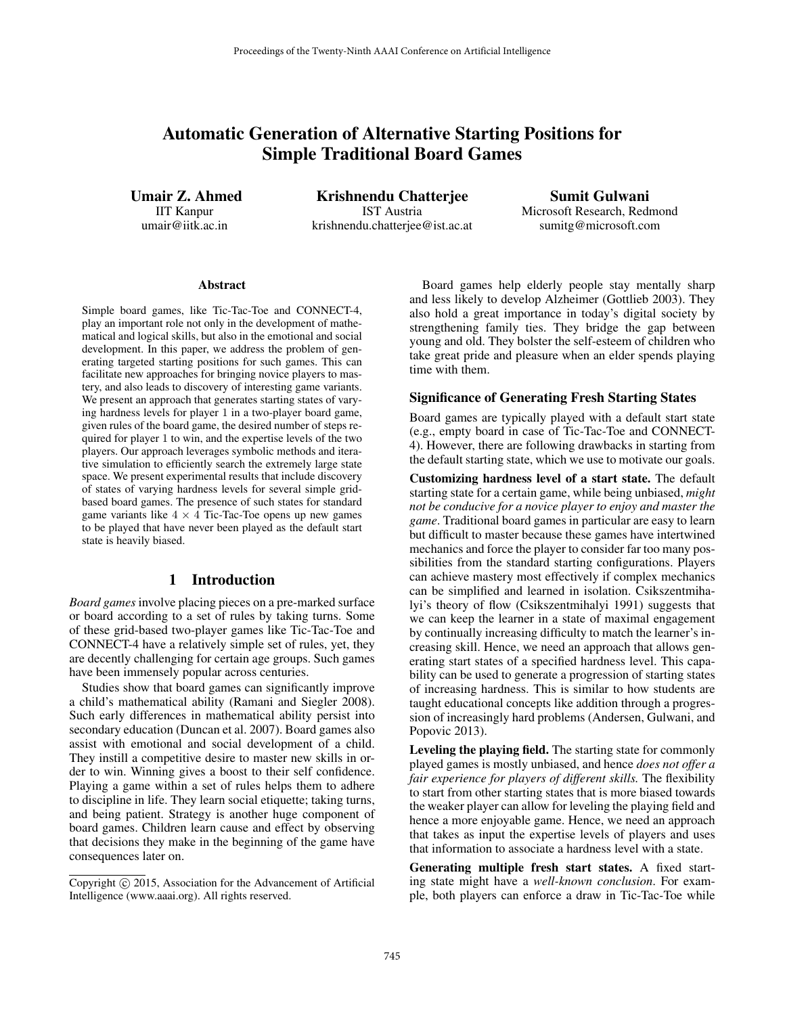# Automatic Generation of Alternative Starting Positions for Simple Traditional Board Games

Umair Z. Ahmed IIT Kanpur umair@iitk.ac.in

Krishnendu Chatterjee IST Austria krishnendu.chatterjee@ist.ac.at

Sumit Gulwani Microsoft Research, Redmond sumitg@microsoft.com

#### **Abstract**

Simple board games, like Tic-Tac-Toe and CONNECT-4, play an important role not only in the development of mathematical and logical skills, but also in the emotional and social development. In this paper, we address the problem of generating targeted starting positions for such games. This can facilitate new approaches for bringing novice players to mastery, and also leads to discovery of interesting game variants. We present an approach that generates starting states of varying hardness levels for player 1 in a two-player board game, given rules of the board game, the desired number of steps required for player 1 to win, and the expertise levels of the two players. Our approach leverages symbolic methods and iterative simulation to efficiently search the extremely large state space. We present experimental results that include discovery of states of varying hardness levels for several simple gridbased board games. The presence of such states for standard game variants like  $4 \times 4$  Tic-Tac-Toe opens up new games to be played that have never been played as the default start state is heavily biased.

# 1 Introduction

*Board games* involve placing pieces on a pre-marked surface or board according to a set of rules by taking turns. Some of these grid-based two-player games like Tic-Tac-Toe and CONNECT-4 have a relatively simple set of rules, yet, they are decently challenging for certain age groups. Such games have been immensely popular across centuries.

Studies show that board games can significantly improve a child's mathematical ability (Ramani and Siegler 2008). Such early differences in mathematical ability persist into secondary education (Duncan et al. 2007). Board games also assist with emotional and social development of a child. They instill a competitive desire to master new skills in order to win. Winning gives a boost to their self confidence. Playing a game within a set of rules helps them to adhere to discipline in life. They learn social etiquette; taking turns, and being patient. Strategy is another huge component of board games. Children learn cause and effect by observing that decisions they make in the beginning of the game have consequences later on.

Board games help elderly people stay mentally sharp and less likely to develop Alzheimer (Gottlieb 2003). They also hold a great importance in today's digital society by strengthening family ties. They bridge the gap between young and old. They bolster the self-esteem of children who take great pride and pleasure when an elder spends playing time with them.

#### Significance of Generating Fresh Starting States

Board games are typically played with a default start state (e.g., empty board in case of Tic-Tac-Toe and CONNECT-4). However, there are following drawbacks in starting from the default starting state, which we use to motivate our goals.

Customizing hardness level of a start state. The default starting state for a certain game, while being unbiased, *might not be conducive for a novice player to enjoy and master the game*. Traditional board games in particular are easy to learn but difficult to master because these games have intertwined mechanics and force the player to consider far too many possibilities from the standard starting configurations. Players can achieve mastery most effectively if complex mechanics can be simplified and learned in isolation. Csikszentmihalyi's theory of flow (Csikszentmihalyi 1991) suggests that we can keep the learner in a state of maximal engagement by continually increasing difficulty to match the learner's increasing skill. Hence, we need an approach that allows generating start states of a specified hardness level. This capability can be used to generate a progression of starting states of increasing hardness. This is similar to how students are taught educational concepts like addition through a progression of increasingly hard problems (Andersen, Gulwani, and Popovic 2013).

Leveling the playing field. The starting state for commonly played games is mostly unbiased, and hence *does not offer a fair experience for players of different skills.* The flexibility to start from other starting states that is more biased towards the weaker player can allow for leveling the playing field and hence a more enjoyable game. Hence, we need an approach that takes as input the expertise levels of players and uses that information to associate a hardness level with a state.

Generating multiple fresh start states. A fixed starting state might have a *well-known conclusion*. For example, both players can enforce a draw in Tic-Tac-Toe while

Copyright (c) 2015, Association for the Advancement of Artificial Intelligence (www.aaai.org). All rights reserved.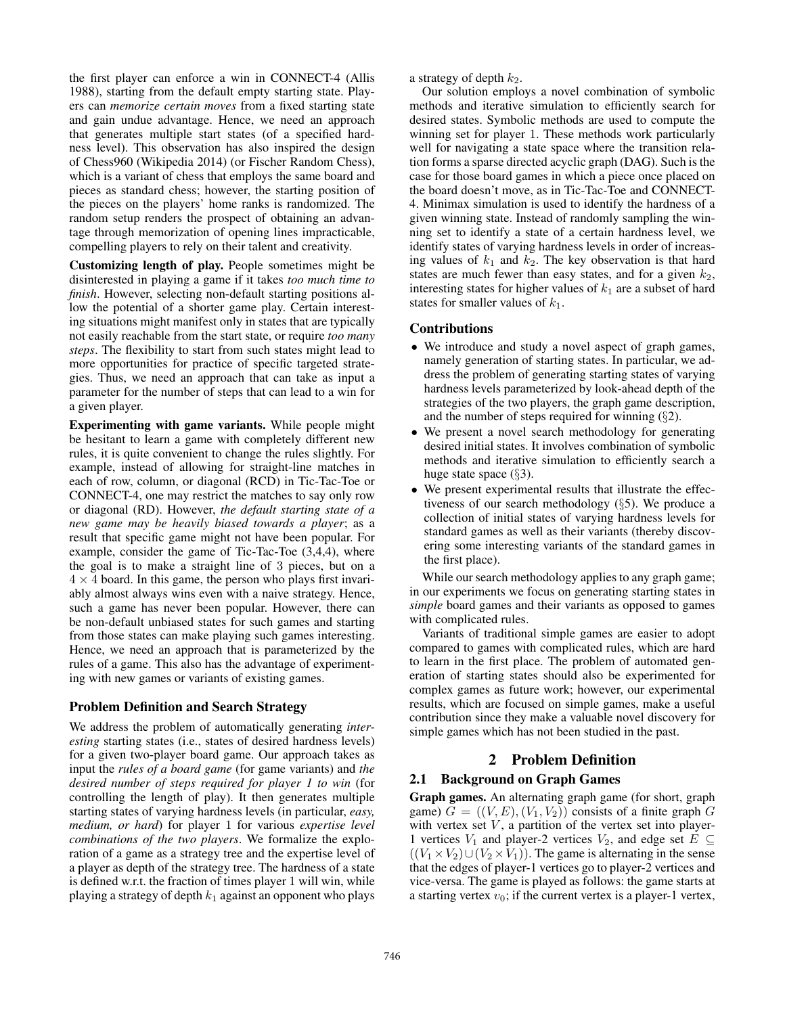the first player can enforce a win in CONNECT-4 (Allis 1988), starting from the default empty starting state. Players can *memorize certain moves* from a fixed starting state and gain undue advantage. Hence, we need an approach that generates multiple start states (of a specified hardness level). This observation has also inspired the design of Chess960 (Wikipedia 2014) (or Fischer Random Chess), which is a variant of chess that employs the same board and pieces as standard chess; however, the starting position of the pieces on the players' home ranks is randomized. The random setup renders the prospect of obtaining an advantage through memorization of opening lines impracticable, compelling players to rely on their talent and creativity.

Customizing length of play. People sometimes might be disinterested in playing a game if it takes *too much time to finish*. However, selecting non-default starting positions allow the potential of a shorter game play. Certain interesting situations might manifest only in states that are typically not easily reachable from the start state, or require *too many steps*. The flexibility to start from such states might lead to more opportunities for practice of specific targeted strategies. Thus, we need an approach that can take as input a parameter for the number of steps that can lead to a win for a given player.

Experimenting with game variants. While people might be hesitant to learn a game with completely different new rules, it is quite convenient to change the rules slightly. For example, instead of allowing for straight-line matches in each of row, column, or diagonal (RCD) in Tic-Tac-Toe or CONNECT-4, one may restrict the matches to say only row or diagonal (RD). However, *the default starting state of a new game may be heavily biased towards a player*; as a result that specific game might not have been popular. For example, consider the game of Tic-Tac-Toe (3,4,4), where the goal is to make a straight line of 3 pieces, but on a  $4 \times 4$  board. In this game, the person who plays first invariably almost always wins even with a naive strategy. Hence, such a game has never been popular. However, there can be non-default unbiased states for such games and starting from those states can make playing such games interesting. Hence, we need an approach that is parameterized by the rules of a game. This also has the advantage of experimenting with new games or variants of existing games.

### Problem Definition and Search Strategy

We address the problem of automatically generating *interesting* starting states (i.e., states of desired hardness levels) for a given two-player board game. Our approach takes as input the *rules of a board game* (for game variants) and *the desired number of steps required for player 1 to win* (for controlling the length of play). It then generates multiple starting states of varying hardness levels (in particular, *easy, medium, or hard*) for player 1 for various *expertise level combinations of the two players*. We formalize the exploration of a game as a strategy tree and the expertise level of a player as depth of the strategy tree. The hardness of a state is defined w.r.t. the fraction of times player 1 will win, while playing a strategy of depth  $k_1$  against an opponent who plays

a strategy of depth  $k_2$ .

Our solution employs a novel combination of symbolic methods and iterative simulation to efficiently search for desired states. Symbolic methods are used to compute the winning set for player 1. These methods work particularly well for navigating a state space where the transition relation forms a sparse directed acyclic graph (DAG). Such is the case for those board games in which a piece once placed on the board doesn't move, as in Tic-Tac-Toe and CONNECT-4. Minimax simulation is used to identify the hardness of a given winning state. Instead of randomly sampling the winning set to identify a state of a certain hardness level, we identify states of varying hardness levels in order of increasing values of  $k_1$  and  $k_2$ . The key observation is that hard states are much fewer than easy states, and for a given  $k_2$ , interesting states for higher values of  $k_1$  are a subset of hard states for smaller values of  $k_1$ .

# Contributions

- We introduce and study a novel aspect of graph games, namely generation of starting states. In particular, we address the problem of generating starting states of varying hardness levels parameterized by look-ahead depth of the strategies of the two players, the graph game description, and the number of steps required for winning  $(\S 2)$ .
- We present a novel search methodology for generating desired initial states. It involves combination of symbolic methods and iterative simulation to efficiently search a huge state space  $(\S3)$ .
- We present experimental results that illustrate the effectiveness of our search methodology (§5). We produce a collection of initial states of varying hardness levels for standard games as well as their variants (thereby discovering some interesting variants of the standard games in the first place).

While our search methodology applies to any graph game; in our experiments we focus on generating starting states in *simple* board games and their variants as opposed to games with complicated rules.

Variants of traditional simple games are easier to adopt compared to games with complicated rules, which are hard to learn in the first place. The problem of automated generation of starting states should also be experimented for complex games as future work; however, our experimental results, which are focused on simple games, make a useful contribution since they make a valuable novel discovery for simple games which has not been studied in the past.

# 2 Problem Definition

# 2.1 Background on Graph Games

Graph games. An alternating graph game (for short, graph game)  $\overline{G} = ((V, E), (V_1, V_2))$  consists of a finite graph  $\overline{G}$ with vertex set  $V$ , a partition of the vertex set into player-1 vertices  $V_1$  and player-2 vertices  $V_2$ , and edge set  $E \subseteq$  $((V_1 \times V_2) \cup (V_2 \times V_1))$ . The game is alternating in the sense that the edges of player-1 vertices go to player-2 vertices and vice-versa. The game is played as follows: the game starts at a starting vertex  $v_0$ ; if the current vertex is a player-1 vertex,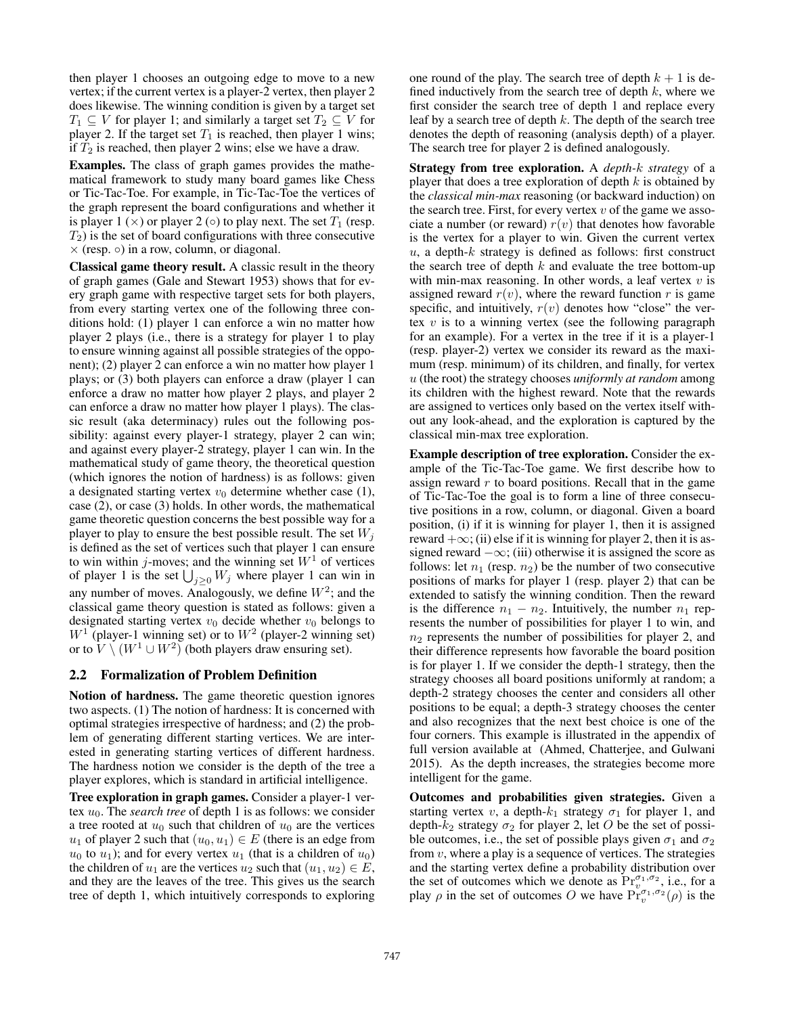then player 1 chooses an outgoing edge to move to a new vertex; if the current vertex is a player-2 vertex, then player 2 does likewise. The winning condition is given by a target set  $T_1 \subseteq V$  for player 1; and similarly a target set  $T_2 \subseteq V$  for player 2. If the target set  $T_1$  is reached, then player 1 wins; if  $T_2$  is reached, then player 2 wins; else we have a draw.

Examples. The class of graph games provides the mathematical framework to study many board games like Chess or Tic-Tac-Toe. For example, in Tic-Tac-Toe the vertices of the graph represent the board configurations and whether it is player 1 ( $\times$ ) or player 2 ( $\circ$ ) to play next. The set  $T_1$  (resp.  $T_2$ ) is the set of board configurations with three consecutive  $\times$  (resp.  $\circ$ ) in a row, column, or diagonal.

Classical game theory result. A classic result in the theory of graph games (Gale and Stewart 1953) shows that for every graph game with respective target sets for both players, from every starting vertex one of the following three conditions hold: (1) player 1 can enforce a win no matter how player 2 plays (i.e., there is a strategy for player 1 to play to ensure winning against all possible strategies of the opponent); (2) player 2 can enforce a win no matter how player 1 plays; or (3) both players can enforce a draw (player 1 can enforce a draw no matter how player 2 plays, and player 2 can enforce a draw no matter how player 1 plays). The classic result (aka determinacy) rules out the following possibility: against every player-1 strategy, player 2 can win; and against every player-2 strategy, player 1 can win. In the mathematical study of game theory, the theoretical question (which ignores the notion of hardness) is as follows: given a designated starting vertex  $v_0$  determine whether case (1), case (2), or case (3) holds. In other words, the mathematical game theoretic question concerns the best possible way for a player to play to ensure the best possible result. The set  $W_i$ is defined as the set of vertices such that player 1 can ensure to win within *j*-moves; and the winning set  $W<sup>1</sup>$  of vertices of player 1 is the set  $\bigcup_{j\geq 0} W_j$  where player 1 can win in any number of moves. Analogously, we define  $W^2$ ; and the classical game theory question is stated as follows: given a designated starting vertex  $v_0$  decide whether  $v_0$  belongs to  $W^1$  (player-1 winning set) or to  $W^2$  (player-2 winning set) or to  $\overline{V} \setminus (W^1 \cup W^2)$  (both players draw ensuring set).

### 2.2 Formalization of Problem Definition

Notion of hardness. The game theoretic question ignores two aspects. (1) The notion of hardness: It is concerned with optimal strategies irrespective of hardness; and (2) the problem of generating different starting vertices. We are interested in generating starting vertices of different hardness. The hardness notion we consider is the depth of the tree a player explores, which is standard in artificial intelligence.

Tree exploration in graph games. Consider a player-1 vertex  $u_0$ . The *search tree* of depth 1 is as follows: we consider a tree rooted at  $u_0$  such that children of  $u_0$  are the vertices  $u_1$  of player 2 such that  $(u_0, u_1) \in E$  (there is an edge from  $u_0$  to  $u_1$ ); and for every vertex  $u_1$  (that is a children of  $u_0$ ) the children of  $u_1$  are the vertices  $u_2$  such that  $(u_1, u_2) \in E$ , and they are the leaves of the tree. This gives us the search tree of depth 1, which intuitively corresponds to exploring

one round of the play. The search tree of depth  $k + 1$  is defined inductively from the search tree of depth  $k$ , where we first consider the search tree of depth 1 and replace every leaf by a search tree of depth  $k$ . The depth of the search tree denotes the depth of reasoning (analysis depth) of a player. The search tree for player 2 is defined analogously.

Strategy from tree exploration. A *depth-*k *strategy* of a player that does a tree exploration of depth  $k$  is obtained by the *classical min-max* reasoning (or backward induction) on the search tree. First, for every vertex  $v$  of the game we associate a number (or reward)  $r(v)$  that denotes how favorable is the vertex for a player to win. Given the current vertex  $u$ , a depth- $k$  strategy is defined as follows: first construct the search tree of depth  $k$  and evaluate the tree bottom-up with min-max reasoning. In other words, a leaf vertex  $v$  is assigned reward  $r(v)$ , where the reward function r is game specific, and intuitively,  $r(v)$  denotes how "close" the vertex  $v$  is to a winning vertex (see the following paragraph for an example). For a vertex in the tree if it is a player-1 (resp. player-2) vertex we consider its reward as the maximum (resp. minimum) of its children, and finally, for vertex u (the root) the strategy chooses *uniformly at random* among its children with the highest reward. Note that the rewards are assigned to vertices only based on the vertex itself without any look-ahead, and the exploration is captured by the classical min-max tree exploration.

Example description of tree exploration. Consider the example of the Tic-Tac-Toe game. We first describe how to assign reward  $r$  to board positions. Recall that in the game of Tic-Tac-Toe the goal is to form a line of three consecutive positions in a row, column, or diagonal. Given a board position, (i) if it is winning for player 1, then it is assigned reward  $+\infty$ ; (ii) else if it is winning for player 2, then it is assigned reward  $-\infty$ ; (iii) otherwise it is assigned the score as follows: let  $n_1$  (resp.  $n_2$ ) be the number of two consecutive positions of marks for player 1 (resp. player 2) that can be extended to satisfy the winning condition. Then the reward is the difference  $n_1 - n_2$ . Intuitively, the number  $n_1$  represents the number of possibilities for player 1 to win, and  $n_2$  represents the number of possibilities for player 2, and their difference represents how favorable the board position is for player 1. If we consider the depth-1 strategy, then the strategy chooses all board positions uniformly at random; a depth-2 strategy chooses the center and considers all other positions to be equal; a depth-3 strategy chooses the center and also recognizes that the next best choice is one of the four corners. This example is illustrated in the appendix of full version available at (Ahmed, Chatterjee, and Gulwani 2015). As the depth increases, the strategies become more intelligent for the game.

Outcomes and probabilities given strategies. Given a starting vertex v, a depth- $k_1$  strategy  $\sigma_1$  for player 1, and depth- $k_2$  strategy  $\sigma_2$  for player 2, let O be the set of possible outcomes, i.e., the set of possible plays given  $\sigma_1$  and  $\sigma_2$ from  $v$ , where a play is a sequence of vertices. The strategies and the starting vertex define a probability distribution over the set of outcomes which we denote as  $Pr_{v}^{\sigma_1, \sigma_2}$ , i.e., for a play  $\rho$  in the set of outcomes O we have  $Pr_v^{\sigma_1, \sigma_2}(\rho)$  is the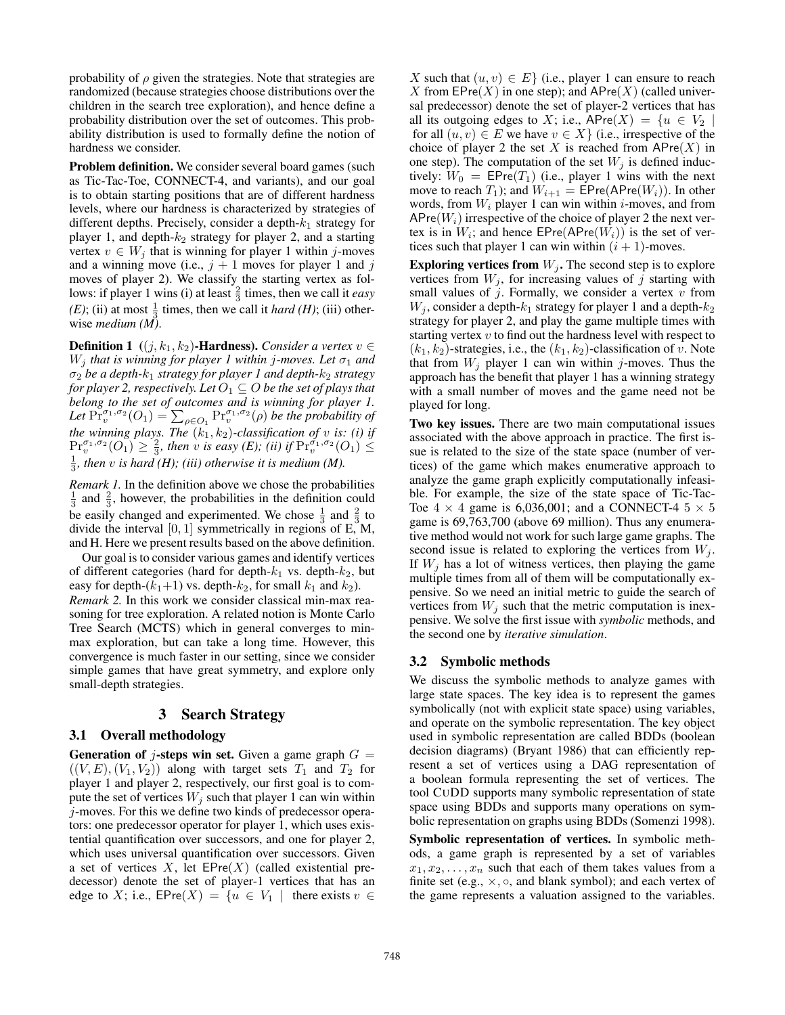probability of  $\rho$  given the strategies. Note that strategies are randomized (because strategies choose distributions over the children in the search tree exploration), and hence define a probability distribution over the set of outcomes. This probability distribution is used to formally define the notion of hardness we consider.

Problem definition. We consider several board games (such as Tic-Tac-Toe, CONNECT-4, and variants), and our goal is to obtain starting positions that are of different hardness levels, where our hardness is characterized by strategies of different depths. Precisely, consider a depth- $k_1$  strategy for player 1, and depth- $k_2$  strategy for player 2, and a starting vertex  $v \in W_j$  that is winning for player 1 within j-moves and a winning move (i.e.,  $j + 1$  moves for player 1 and j moves of player 2). We classify the starting vertex as follows: if player 1 wins (i) at least  $\frac{2}{3}$  times, then we call it *easy (E)*; (ii) at most  $\frac{1}{3}$  times, then we call it *hard (H)*; (iii) otherwise *medium (M)*.

**Definition 1** ((j, k<sub>1</sub>, k<sub>2</sub>)-**Hardness).** *Consider a vertex*  $v \in$  $W_i$  *that is winning for player 1 within j-moves. Let*  $\sigma_1$  *and* σ<sup>2</sup> *be a depth-*k<sup>1</sup> *strategy for player 1 and depth-*k<sup>2</sup> *strategy for player 2, respectively. Let*  $O_1 \subseteq O$  *be the set of plays that belong to the set of outcomes and is winning for player 1.* Let  $Pr_v^{\sigma_1,\sigma_2}(O_1) = \sum_{\rho \in O_1} Pr_v^{\sigma_1,\sigma_2}(\rho)$  *be the probability of the winning plays. The*  $(k_1, k_2)$ -classification of  $v$  is: (i) if  $\Pr_v^{\sigma_1, \sigma_2}(O_1) \geq \frac{2}{3}$ , then v is easy (E); (ii) if  $\Pr_v^{\sigma_1, \sigma_2}(O_1) \leq$  $\frac{1}{3}$ , then v is hard (H); (iii) otherwise it is medium (M).

*Remark 1.* In the definition above we chose the probabilities  $\frac{1}{3}$  and  $\frac{2}{3}$ , however, the probabilities in the definition could be easily changed and experimented. We chose  $\frac{1}{3}$  and  $\frac{2}{3}$  to divide the interval  $[0, 1]$  symmetrically in regions of E, M, and H. Here we present results based on the above definition.

Our goal is to consider various games and identify vertices of different categories (hard for depth- $k_1$  vs. depth- $k_2$ , but easy for depth- $(k_1+1)$  vs. depth- $k_2$ , for small  $k_1$  and  $k_2$ ). *Remark 2.* In this work we consider classical min-max reasoning for tree exploration. A related notion is Monte Carlo Tree Search (MCTS) which in general converges to minmax exploration, but can take a long time. However, this convergence is much faster in our setting, since we consider simple games that have great symmetry, and explore only small-depth strategies.

# 3 Search Strategy

### 3.1 Overall methodology

**Generation of j-steps win set.** Given a game graph  $G =$  $((V, E), (V_1, V_2))$  along with target sets  $T_1$  and  $T_2$  for player 1 and player 2, respectively, our first goal is to compute the set of vertices  $W_i$  such that player 1 can win within j-moves. For this we define two kinds of predecessor operators: one predecessor operator for player 1, which uses existential quantification over successors, and one for player 2, which uses universal quantification over successors. Given a set of vertices  $X$ , let  $EPre(X)$  (called existential predecessor) denote the set of player-1 vertices that has an edge to X; i.e.,  $EPre(X) = \{u \in V_1 \mid \text{there exists } v \in$ 

X such that  $(u, v) \in E$  (i.e., player 1 can ensure to reach X from  $EPre(X)$  in one step); and  $APre(X)$  (called universal predecessor) denote the set of player-2 vertices that has all its outgoing edges to X; i.e.,  $APre(X) = \{u \in V_2 \mid$ for all  $(u, v) \in E$  we have  $v \in X$  (i.e., irrespective of the choice of player 2 the set X is reached from  $APre(X)$  in one step). The computation of the set  $W_j$  is defined inductively:  $W_0 = \text{EPre}(T_1)$  (i.e., player 1 wins with the next move to reach  $T_1$ ); and  $W_{i+1} = \text{EPre}(\text{APre}(W_i))$ . In other words, from  $W_i$  player 1 can win within *i*-moves, and from  $APre(W_i)$  irrespective of the choice of player 2 the next vertex is in  $W_i$ ; and hence  $\text{EPre}(\text{APre}(W_i))$  is the set of vertices such that player 1 can win within  $(i + 1)$ -moves.

**Exploring vertices from**  $W_j$ . The second step is to explore vertices from  $W_j$ , for increasing values of j starting with small values of  $j$ . Formally, we consider a vertex  $v$  from  $W_i$ , consider a depth- $k_1$  strategy for player 1 and a depth- $k_2$ strategy for player 2, and play the game multiple times with starting vertex  $v$  to find out the hardness level with respect to  $(k_1, k_2)$ -strategies, i.e., the  $(k_1, k_2)$ -classification of v. Note that from  $W_j$  player 1 can win within j-moves. Thus the approach has the benefit that player 1 has a winning strategy with a small number of moves and the game need not be played for long.

Two key issues. There are two main computational issues associated with the above approach in practice. The first issue is related to the size of the state space (number of vertices) of the game which makes enumerative approach to analyze the game graph explicitly computationally infeasible. For example, the size of the state space of Tic-Tac-Toe  $4 \times 4$  game is 6,036,001; and a CONNECT-4  $5 \times 5$ game is 69,763,700 (above 69 million). Thus any enumerative method would not work for such large game graphs. The second issue is related to exploring the vertices from  $W_i$ . If  $W_i$  has a lot of witness vertices, then playing the game multiple times from all of them will be computationally expensive. So we need an initial metric to guide the search of vertices from  $W_j$  such that the metric computation is inexpensive. We solve the first issue with *symbolic* methods, and the second one by *iterative simulation*.

### 3.2 Symbolic methods

We discuss the symbolic methods to analyze games with large state spaces. The key idea is to represent the games symbolically (not with explicit state space) using variables, and operate on the symbolic representation. The key object used in symbolic representation are called BDDs (boolean decision diagrams) (Bryant 1986) that can efficiently represent a set of vertices using a DAG representation of a boolean formula representing the set of vertices. The tool CUDD supports many symbolic representation of state space using BDDs and supports many operations on symbolic representation on graphs using BDDs (Somenzi 1998).

Symbolic representation of vertices. In symbolic methods, a game graph is represented by a set of variables  $x_1, x_2, \ldots, x_n$  such that each of them takes values from a finite set (e.g.,  $\times$ ,  $\circ$ , and blank symbol); and each vertex of the game represents a valuation assigned to the variables.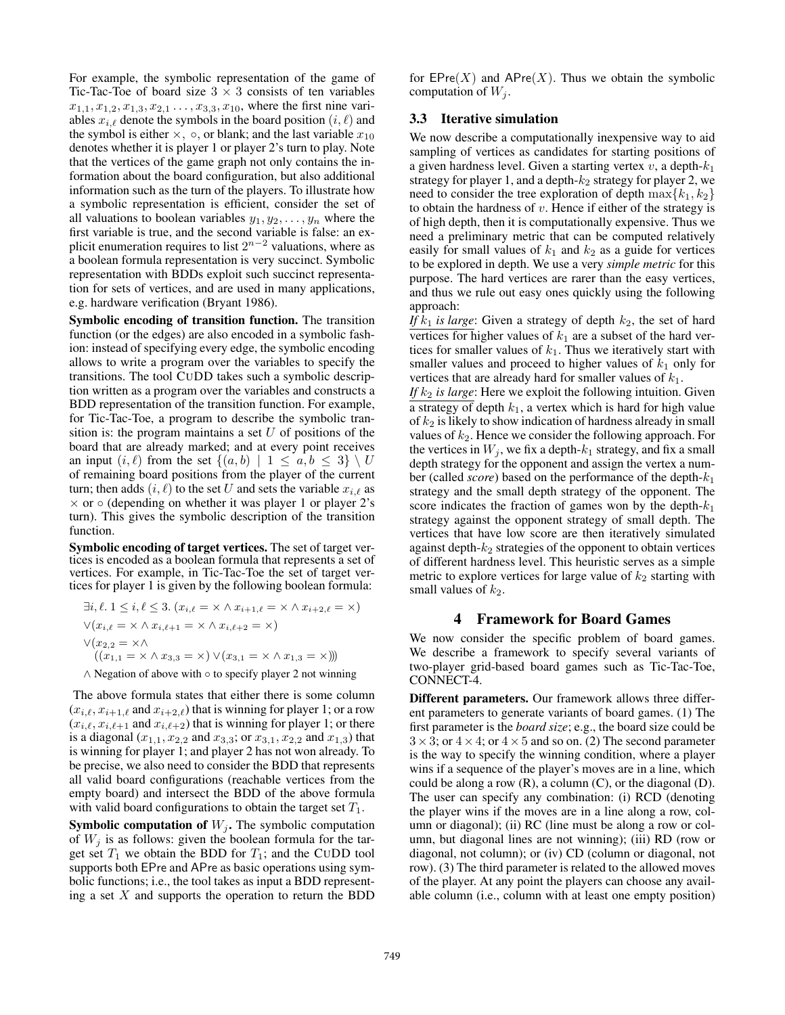For example, the symbolic representation of the game of Tic-Tac-Toe of board size  $3 \times 3$  consists of ten variables  $x_{1,1}, x_{1,2}, x_{1,3}, x_{2,1} \ldots, x_{3,3}, x_{10}$ , where the first nine variables  $x_{i,\ell}$  denote the symbols in the board position  $(i, \ell)$  and the symbol is either  $\times$ ,  $\circ$ , or blank; and the last variable  $x_{10}$ denotes whether it is player 1 or player 2's turn to play. Note that the vertices of the game graph not only contains the information about the board configuration, but also additional information such as the turn of the players. To illustrate how a symbolic representation is efficient, consider the set of all valuations to boolean variables  $y_1, y_2, \ldots, y_n$  where the first variable is true, and the second variable is false: an explicit enumeration requires to list  $2^{n-2}$  valuations, where as a boolean formula representation is very succinct. Symbolic representation with BDDs exploit such succinct representation for sets of vertices, and are used in many applications, e.g. hardware verification (Bryant 1986).

Symbolic encoding of transition function. The transition function (or the edges) are also encoded in a symbolic fashion: instead of specifying every edge, the symbolic encoding allows to write a program over the variables to specify the transitions. The tool CUDD takes such a symbolic description written as a program over the variables and constructs a BDD representation of the transition function. For example, for Tic-Tac-Toe, a program to describe the symbolic transition is: the program maintains a set  $U$  of positions of the board that are already marked; and at every point receives an input  $(i, \ell)$  from the set  $\{(a, b) | 1 \le a, b \le 3\} \setminus U$ of remaining board positions from the player of the current turn; then adds  $(i, \ell)$  to the set U and sets the variable  $x_{i,\ell}$  as  $\times$  or  $\circ$  (depending on whether it was player 1 or player 2's turn). This gives the symbolic description of the transition function.

Symbolic encoding of target vertices. The set of target vertices is encoded as a boolean formula that represents a set of vertices. For example, in Tic-Tac-Toe the set of target vertices for player 1 is given by the following boolean formula:

$$
\exists i, \ell. 1 \le i, \ell \le 3. \ (x_{i,\ell} = \times \wedge x_{i+1,\ell} = \times \wedge x_{i+2,\ell} = \times)
$$

$$
\vee (x_{i,\ell} = \times \wedge x_{i,\ell+1} = \times \wedge x_{i,\ell+2} = \times)
$$

$$
\vee (x_{2,2} = \times \wedge
$$

$$
((x_{1,1} = \times \wedge x_{3,3} = \times) \vee (x_{3,1} = \times \wedge x_{1,3} = \times)))
$$

∧ Negation of above with ◦ to specify player 2 not winning

The above formula states that either there is some column  $(x_{i,\ell}, x_{i+1,\ell} \text{ and } x_{i+2,\ell})$  that is winning for player 1; or a row  $(x_{i,\ell}, x_{i,\ell+1}$  and  $x_{i,\ell+2}$ ) that is winning for player 1; or there is a diagonal  $(x_{1,1}, x_{2,2} \text{ and } x_{3,3}; \text{ or } x_{3,1}, x_{2,2} \text{ and } x_{1,3})$  that is winning for player 1; and player 2 has not won already. To be precise, we also need to consider the BDD that represents all valid board configurations (reachable vertices from the empty board) and intersect the BDD of the above formula with valid board configurations to obtain the target set  $T_1$ .

**Symbolic computation of**  $W_j$ **.** The symbolic computation of  $W_i$  is as follows: given the boolean formula for the target set  $T_1$  we obtain the BDD for  $T_1$ ; and the CUDD tool supports both EPre and APre as basic operations using symbolic functions; i.e., the tool takes as input a BDD representing a set  $X$  and supports the operation to return the BDD for  $EPre(X)$  and  $APre(X)$ . Thus we obtain the symbolic computation of  $W_i$ .

# 3.3 Iterative simulation

We now describe a computationally inexpensive way to aid sampling of vertices as candidates for starting positions of a given hardness level. Given a starting vertex  $v$ , a depth- $k_1$ strategy for player 1, and a depth- $k_2$  strategy for player 2, we need to consider the tree exploration of depth  $\max\{k_1, k_2\}$ to obtain the hardness of  $v$ . Hence if either of the strategy is of high depth, then it is computationally expensive. Thus we need a preliminary metric that can be computed relatively easily for small values of  $k_1$  and  $k_2$  as a guide for vertices to be explored in depth. We use a very *simple metric* for this purpose. The hard vertices are rarer than the easy vertices, and thus we rule out easy ones quickly using the following approach:

*If*  $k_1$  *is large*: Given a strategy of depth  $k_2$ , the set of hard vertices for higher values of  $k_1$  are a subset of the hard vertices for smaller values of  $k_1$ . Thus we iteratively start with smaller values and proceed to higher values of  $k_1$  only for vertices that are already hard for smaller values of  $k_1$ .

*If*  $k_2$  *is large*: Here we exploit the following intuition. Given a strategy of depth  $k_1$ , a vertex which is hard for high value of  $k_2$  is likely to show indication of hardness already in small values of  $k_2$ . Hence we consider the following approach. For the vertices in  $W_j$ , we fix a depth- $k_1$  strategy, and fix a small depth strategy for the opponent and assign the vertex a number (called *score*) based on the performance of the depth- $k_1$ strategy and the small depth strategy of the opponent. The score indicates the fraction of games won by the depth- $k_1$ strategy against the opponent strategy of small depth. The vertices that have low score are then iteratively simulated against depth- $k_2$  strategies of the opponent to obtain vertices of different hardness level. This heuristic serves as a simple metric to explore vertices for large value of  $k_2$  starting with small values of  $k_2$ .

#### 4 Framework for Board Games

We now consider the specific problem of board games. We describe a framework to specify several variants of two-player grid-based board games such as Tic-Tac-Toe, CONNECT-4.

Different parameters. Our framework allows three different parameters to generate variants of board games. (1) The first parameter is the *board size*; e.g., the board size could be  $3 \times 3$ ; or  $4 \times 4$ ; or  $4 \times 5$  and so on. (2) The second parameter is the way to specify the winning condition, where a player wins if a sequence of the player's moves are in a line, which could be along a row  $(R)$ , a column  $(C)$ , or the diagonal  $(D)$ . The user can specify any combination: (i) RCD (denoting the player wins if the moves are in a line along a row, column or diagonal); (ii) RC (line must be along a row or column, but diagonal lines are not winning); (iii) RD (row or diagonal, not column); or (iv) CD (column or diagonal, not row). (3) The third parameter is related to the allowed moves of the player. At any point the players can choose any available column (i.e., column with at least one empty position)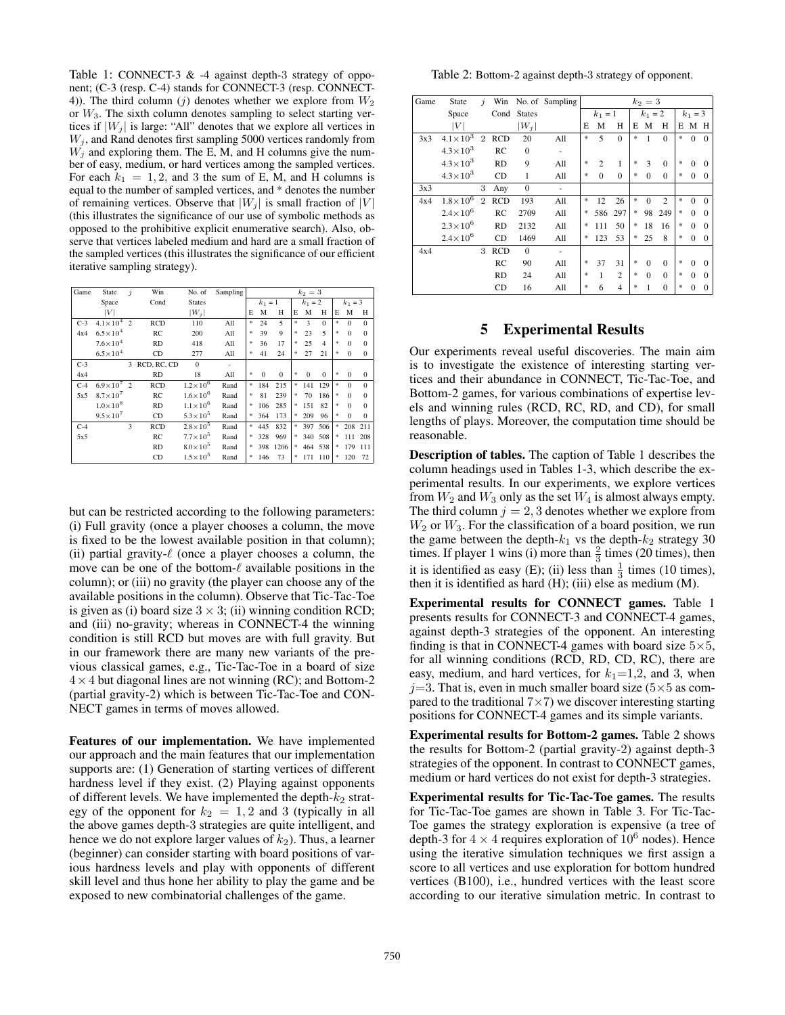Table 1: CONNECT-3 & -4 against depth-3 strategy of opponent; (C-3 (resp. C-4) stands for CONNECT-3 (resp. CONNECT-4)). The third column (j) denotes whether we explore from  $W_2$ or  $W_3$ . The sixth column denotes sampling to select starting vertices if  $|W_j|$  is large: "All" denotes that we explore all vertices in  $W_j$ , and Rand denotes first sampling 5000 vertices randomly from  $W_i$  and exploring them. The E, M, and H columns give the number of easy, medium, or hard vertices among the sampled vertices. For each  $k_1 = 1, 2$ , and 3 the sum of E, M, and H columns is equal to the number of sampled vertices, and \* denotes the number of remaining vertices. Observe that  $|W_j|$  is small fraction of  $|V|$ (this illustrates the significance of our use of symbolic methods as opposed to the prohibitive explicit enumerative search). Also, observe that vertices labeled medium and hard are a small fraction of the sampled vertices (this illustrates the significance of our efficient iterative sampling strategy).

| Game  | State                 | $\dot{\mathbf{z}}$ | Win         | No. of              | Sampling | $k_2 = 3$ |           |              |               |           |                |               |           |              |  |
|-------|-----------------------|--------------------|-------------|---------------------|----------|-----------|-----------|--------------|---------------|-----------|----------------|---------------|-----------|--------------|--|
|       | Space                 |                    | Cond        | <b>States</b>       |          |           | $k_1 = 1$ |              |               | $k_1 = 2$ |                |               | $k_1 = 3$ |              |  |
|       | ١V١                   |                    |             | $ W_i $             |          | E         | M         | Н            | E             | M         | H              | E             | M         | H            |  |
| $C-3$ | $4.1 \times 10^{4}$   | $\overline{2}$     | <b>RCD</b>  | 110                 | All      | $\ast$    | 24        | 5            | 宋             | 3         | $\Omega$       | 宋             | $\Omega$  | $\Omega$     |  |
| 4x4   | $6.5 \times 10^{4}$   |                    | RC          | 200                 | All      | 宋         | 39        | 9            | 宋             | 23        | 5              | 宋             | $\Omega$  | $\Omega$     |  |
|       | $7.6 \times 10^{4}$   |                    | <b>RD</b>   | 418                 | All      | 宋         | 36        | 17           | 宋             | 25        | $\overline{4}$ | 宋             | $\Omega$  | $\Omega$     |  |
|       | $6.5 \times 10^{4}$   |                    | CD          | 277                 | All      | 宋         | 41        | 24           | 宋             | 27        | 21             | 宋             | $\Omega$  | $\mathbf{0}$ |  |
| $C-3$ |                       | 3                  | RCD, RC, CD | $\Omega$            |          |           |           |              |               |           |                |               |           |              |  |
| 4x4   |                       |                    | RD          | 18                  | All      | 宋         | $\Omega$  | $\mathbf{0}$ | 宋             | $\Omega$  | $\mathbf{0}$   | $\frac{1}{2}$ | $\Omega$  | $\mathbf{0}$ |  |
| $C-4$ | $6.9 \times 10^{7}$ 2 |                    | RCD         | $1.2 \times 10^{6}$ | Rand     | 宋         | 184       | 215          | $\frac{1}{2}$ | 141       | 129            | 宋             | $\Omega$  | $\Omega$     |  |
| 5x5   | $8.7\times10^7$       |                    | RC          | $1.6 \times 10^{6}$ | Rand     | 宋         | 81        | 239          | 宋             | 70        | 186            | 宋             | $\Omega$  | $\Omega$     |  |
|       | $1.0\times10^{8}$     |                    | RD          | $1.1 \times 10^{6}$ | Rand     | 宗         | 106       | 285          | 宋             | 151       | 82             | $\frac{1}{2}$ | $\Omega$  | $\Omega$     |  |
|       | $9.5 \times 10^{7}$   |                    | CD          | $5.3 \times 10^{5}$ | Rand     | 宋         | 364       | 173          | 宋             | 209       | 96             | $\frac{1}{2}$ | $\Omega$  | $\Omega$     |  |
| $C-4$ |                       | 3                  | <b>RCD</b>  | $2.8 \times 10^{5}$ | Rand     | $\ast$    | 445       | 832          | 宋             | 397       | 506            | 宋             | 208       | 211          |  |
| 5x5   |                       |                    | RC          | $7.7 \times 10^{5}$ | Rand     | 宗         | 328       | 969          | 宋             | 340       | 508            | 宋             | 111       | 208          |  |
|       |                       |                    | <b>RD</b>   | $8.0\times10^{5}$   | Rand     | 宗         | 398       | 1206         | *             | 464       | 538            | 宋             | 179       | 111          |  |
|       |                       |                    | CD          | $1.5 \times 10^{5}$ | Rand     | 宋         | 146       | 73           | 宋             | 171       | 110            | 宋             | 120       | 72           |  |

but can be restricted according to the following parameters: (i) Full gravity (once a player chooses a column, the move is fixed to be the lowest available position in that column); (ii) partial gravity- $\ell$  (once a player chooses a column, the move can be one of the bottom- $\ell$  available positions in the column); or (iii) no gravity (the player can choose any of the available positions in the column). Observe that Tic-Tac-Toe is given as (i) board size  $3 \times 3$ ; (ii) winning condition RCD; and (iii) no-gravity; whereas in CONNECT-4 the winning condition is still RCD but moves are with full gravity. But in our framework there are many new variants of the previous classical games, e.g., Tic-Tac-Toe in a board of size  $4 \times 4$  but diagonal lines are not winning (RC); and Bottom-2 (partial gravity-2) which is between Tic-Tac-Toe and CON-NECT games in terms of moves allowed.

Features of our implementation. We have implemented our approach and the main features that our implementation supports are: (1) Generation of starting vertices of different hardness level if they exist. (2) Playing against opponents of different levels. We have implemented the depth- $k_2$  strategy of the opponent for  $k_2 = 1, 2$  and 3 (typically in all the above games depth-3 strategies are quite intelligent, and hence we do not explore larger values of  $k_2$ ). Thus, a learner (beginner) can consider starting with board positions of various hardness levels and play with opponents of different skill level and thus hone her ability to play the game and be exposed to new combinatorial challenges of the game.

Table 2: Bottom-2 against depth-3 strategy of opponent.

| Game | State               | $\dot{\mathbf{z}}$ | Win        |               | No. of Sampling |           |                |                |   | $k_2=3$   |                |           |              |          |
|------|---------------------|--------------------|------------|---------------|-----------------|-----------|----------------|----------------|---|-----------|----------------|-----------|--------------|----------|
|      | Space               |                    | Cond       | <b>States</b> |                 | $k_1 = 1$ |                |                |   | $k_1 = 2$ |                | $k_1 = 3$ |              |          |
|      | $\left V\right $    |                    |            | $ W_j $       |                 | Е         | M              | Н              | E | M         | Н              | Е         | M H          |          |
| 3x3  | $4.1 \times 10^{3}$ | $\overline{2}$     | <b>RCD</b> | 20            | All             | *         | 5              | $\mathbf{0}$   | * |           | $\Omega$       | *         | $\mathbf{0}$ | $\Omega$ |
|      | $4.3 \times 10^{3}$ |                    | RC         | $\Omega$      | ٠               |           |                |                |   |           |                |           |              |          |
|      | $4.3 \times 10^{3}$ |                    | <b>RD</b>  | 9             | All             | *         | $\overline{c}$ | 1              | * | 3         | $\Omega$       | $\ast$    | $\Omega$     | $\theta$ |
|      | $4.3 \times 10^{3}$ |                    | <b>CD</b>  | 1             | All             | $\ast$    | $\theta$       | $\Omega$       | * | $\Omega$  | $\Omega$       | $*$       | $\mathbf{0}$ | $\Omega$ |
| 3x3  |                     | 3                  | Any        | $\mathbf{0}$  | ۰               |           |                |                |   |           |                |           |              |          |
| 4x4  | $1.8 \times 10^{6}$ | $\overline{2}$     | <b>RCD</b> | 193           | All             | *         | 12             | 26             | * | $\Omega$  | $\overline{c}$ | $*$       | $\Omega$     | $\Omega$ |
|      | $2.4 \times 10^{6}$ |                    | RC         | 2709          | All             | *         | 586            | 297            | * | 98        | 249            | $*$       | $\Omega$     | $\Omega$ |
|      | $2.3 \times 10^{6}$ |                    | <b>RD</b>  | 2132          | All             | *         | 111            | 50             | * | 18        | 16             | $*$       | $\Omega$     | $\Omega$ |
|      | $2.4 \times 10^{6}$ |                    | <b>CD</b>  | 1469          | All             | *         | 123            | 53             | * | 25        | 8              | $*$       | $\Omega$     | 0        |
| 4x4  |                     | 3                  | <b>RCD</b> | $\Omega$      |                 |           |                |                |   |           |                |           |              |          |
|      |                     |                    | RC         | 90            | All             | *         | 37             | 31             | * | $\Omega$  | $\Omega$       | $*$       | $\Omega$     | $\theta$ |
|      |                     |                    | <b>RD</b>  | 24            | All             | $\ast$    | 1              | $\overline{c}$ | * | $\Omega$  | $\Omega$       | $*$       | $\Omega$     | 0        |
|      |                     |                    | CD         | 16            | All             | $\ast$    | 6              | $\overline{4}$ | * |           | $\theta$       | *         | $\Omega$     |          |

### 5 Experimental Results

Our experiments reveal useful discoveries. The main aim is to investigate the existence of interesting starting vertices and their abundance in CONNECT, Tic-Tac-Toe, and Bottom-2 games, for various combinations of expertise levels and winning rules (RCD, RC, RD, and CD), for small lengths of plays. Moreover, the computation time should be reasonable.

Description of tables. The caption of Table 1 describes the column headings used in Tables 1-3, which describe the experimental results. In our experiments, we explore vertices from  $W_2$  and  $W_3$  only as the set  $W_4$  is almost always empty. The third column  $j = 2, 3$  denotes whether we explore from  $W_2$  or  $W_3$ . For the classification of a board position, we run the game between the depth- $k_1$  vs the depth- $k_2$  strategy 30 times. If player 1 wins (i) more than  $\frac{2}{3}$  times (20 times), then it is identified as easy (E); (ii) less than  $\frac{1}{3}$  times (10 times), then it is identified as hard (H); (iii) else as medium (M).

Experimental results for CONNECT games. Table 1 presents results for CONNECT-3 and CONNECT-4 games, against depth-3 strategies of the opponent. An interesting finding is that in CONNECT-4 games with board size  $5\times5$ , for all winning conditions (RCD, RD, CD, RC), there are easy, medium, and hard vertices, for  $k_1=1,2$ , and 3, when  $j=3$ . That is, even in much smaller board size ( $5\times 5$  as compared to the traditional  $7\times7$ ) we discover interesting starting positions for CONNECT-4 games and its simple variants.

Experimental results for Bottom-2 games. Table 2 shows the results for Bottom-2 (partial gravity-2) against depth-3 strategies of the opponent. In contrast to CONNECT games, medium or hard vertices do not exist for depth-3 strategies.

Experimental results for Tic-Tac-Toe games. The results for Tic-Tac-Toe games are shown in Table 3. For Tic-Tac-Toe games the strategy exploration is expensive (a tree of depth-3 for  $4 \times 4$  requires exploration of  $10^6$  nodes). Hence using the iterative simulation techniques we first assign a score to all vertices and use exploration for bottom hundred vertices (B100), i.e., hundred vertices with the least score according to our iterative simulation metric. In contrast to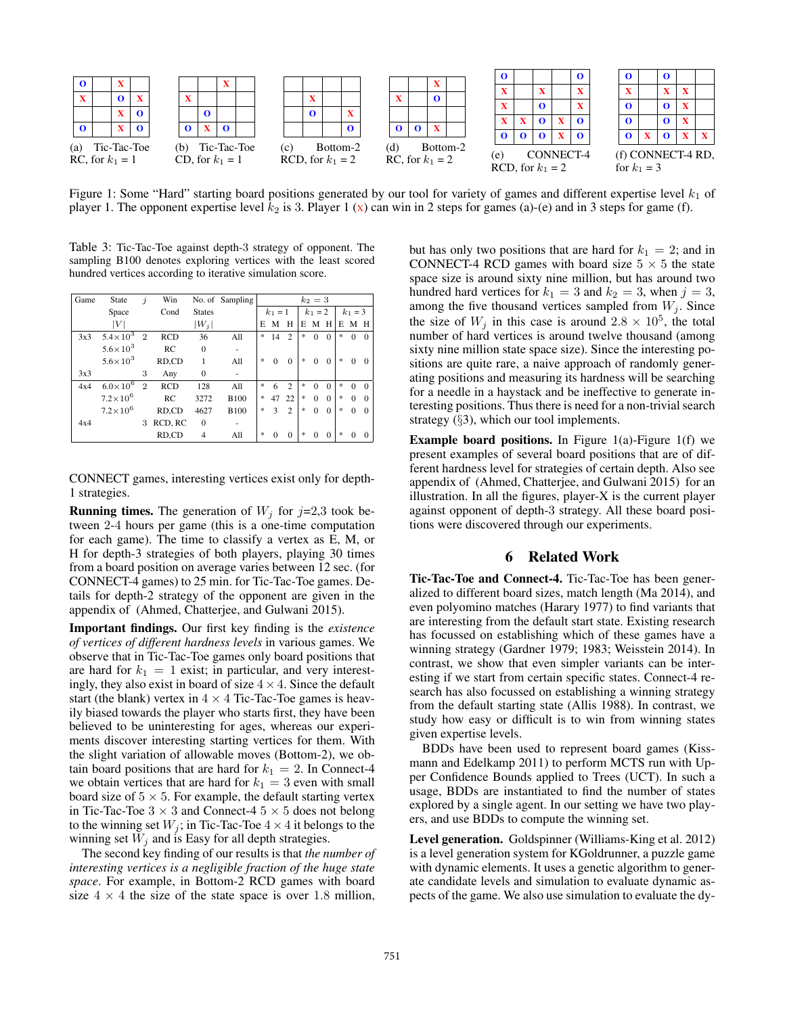

Figure 1: Some "Hard" starting board positions generated by our tool for variety of games and different expertise level  $k_1$  of player 1. The opponent expertise level  $k_2$  is 3. Player 1 (x) can win in 2 steps for games (a)-(e) and in 3 steps for game (f).

Table 3: Tic-Tac-Toe against depth-3 strategy of opponent. The sampling B100 denotes exploring vertices with the least scored hundred vertices according to iterative simulation score.

| Game | State               | İ              | Win        |               | No. of Sampling | $k_2 = 3$ |          |                |           |          |          |           |              |          |
|------|---------------------|----------------|------------|---------------|-----------------|-----------|----------|----------------|-----------|----------|----------|-----------|--------------|----------|
|      | Space               |                | Cond       | <b>States</b> |                 | $k_1 = 1$ |          |                | $k_1 = 2$ |          |          | $k_1 = 3$ |              |          |
|      | V                   |                |            | $ W_i $       |                 | E         | M        | Н              | E         | M        | H        | E         | M H          |          |
| 3x3  | $5.4 \times 10^{3}$ | $\overline{2}$ | <b>RCD</b> | 36            | All             | *         | 14       | $\overline{c}$ | *         | $\Omega$ | $\Omega$ | *         | $\Omega$     | $\Omega$ |
|      | $5.6 \times 10^{3}$ |                | RC.        | $\Omega$      |                 |           |          |                |           |          |          |           |              |          |
|      | $5.6 \times 10^{3}$ |                | RD,CD      | 1             | All             | *         | $\Omega$ | $\Omega$       | *         | $\Omega$ | $\Omega$ | *         | $\Omega$     | $\Omega$ |
| 3x3  |                     | 3              | Any        | $\Omega$      |                 |           |          |                |           |          |          |           |              |          |
| 4x4  | $6.0\times10^{6}$   | $\overline{2}$ | <b>RCD</b> | 128           | All             | *         | 6        | $\overline{c}$ | *         | $\Omega$ | $\Omega$ | *         | $\Omega$     | $\Omega$ |
|      | $7.2 \times 10^{6}$ |                | RC.        | 3272          | <b>B100</b>     |           | 47       | 22             | *         | $\Omega$ | $\Omega$ | *         | $\Omega$     | $\Omega$ |
|      | $7.2 \times 10^6$   |                | RD,CD      | 4627          | <b>B100</b>     | $\ast$    | 3        | $\overline{c}$ | *         | $\Omega$ | $\Omega$ | *         | $\mathbf{0}$ | $\Omega$ |
| 4x4  |                     | 3              | RCD, RC    | $\Omega$      |                 |           |          |                |           |          |          |           |              |          |
|      |                     |                | RD,CD      | 4             | All             | *         | $\Omega$ | $\Omega$       | *         | $\Omega$ | $\Omega$ | $\ast$    | $\Omega$     | $\theta$ |

CONNECT games, interesting vertices exist only for depth-1 strategies.

**Running times.** The generation of  $W_i$  for  $j=2,3$  took between 2-4 hours per game (this is a one-time computation for each game). The time to classify a vertex as E, M, or H for depth-3 strategies of both players, playing 30 times from a board position on average varies between 12 sec. (for CONNECT-4 games) to 25 min. for Tic-Tac-Toe games. Details for depth-2 strategy of the opponent are given in the appendix of (Ahmed, Chatterjee, and Gulwani 2015).

Important findings. Our first key finding is the *existence of vertices of different hardness levels* in various games. We observe that in Tic-Tac-Toe games only board positions that are hard for  $k_1 = 1$  exist; in particular, and very interestingly, they also exist in board of size  $4 \times 4$ . Since the default start (the blank) vertex in  $4 \times 4$  Tic-Tac-Toe games is heavily biased towards the player who starts first, they have been believed to be uninteresting for ages, whereas our experiments discover interesting starting vertices for them. With the slight variation of allowable moves (Bottom-2), we obtain board positions that are hard for  $k_1 = 2$ . In Connect-4 we obtain vertices that are hard for  $k_1 = 3$  even with small board size of  $5 \times 5$ . For example, the default starting vertex in Tic-Tac-Toe  $3 \times 3$  and Connect-4  $5 \times 5$  does not belong to the winning set  $W_j$ ; in Tic-Tac-Toe  $4 \times 4$  it belongs to the winning set  $\bar{W}_j$  and is Easy for all depth strategies.

The second key finding of our results is that *the number of interesting vertices is a negligible fraction of the huge state space*. For example, in Bottom-2 RCD games with board size  $4 \times 4$  the size of the state space is over 1.8 million,

but has only two positions that are hard for  $k_1 = 2$ ; and in CONNECT-4 RCD games with board size  $5 \times 5$  the state space size is around sixty nine million, but has around two hundred hard vertices for  $k_1 = 3$  and  $k_2 = 3$ , when  $j = 3$ , among the five thousand vertices sampled from  $W_i$ . Since the size of  $W_j$  in this case is around  $2.8 \times 10^5$ , the total number of hard vertices is around twelve thousand (among sixty nine million state space size). Since the interesting positions are quite rare, a naive approach of randomly generating positions and measuring its hardness will be searching for a needle in a haystack and be ineffective to generate interesting positions. Thus there is need for a non-trivial search strategy  $(\S$ 3), which our tool implements.

**Example board positions.** In Figure 1(a)-Figure 1(f) we present examples of several board positions that are of different hardness level for strategies of certain depth. Also see appendix of (Ahmed, Chatterjee, and Gulwani 2015) for an illustration. In all the figures, player-X is the current player against opponent of depth-3 strategy. All these board positions were discovered through our experiments.

# 6 Related Work

Tic-Tac-Toe and Connect-4. Tic-Tac-Toe has been generalized to different board sizes, match length (Ma 2014), and even polyomino matches (Harary 1977) to find variants that are interesting from the default start state. Existing research has focussed on establishing which of these games have a winning strategy (Gardner 1979; 1983; Weisstein 2014). In contrast, we show that even simpler variants can be interesting if we start from certain specific states. Connect-4 research has also focussed on establishing a winning strategy from the default starting state (Allis 1988). In contrast, we study how easy or difficult is to win from winning states given expertise levels.

BDDs have been used to represent board games (Kissmann and Edelkamp 2011) to perform MCTS run with Upper Confidence Bounds applied to Trees (UCT). In such a usage, BDDs are instantiated to find the number of states explored by a single agent. In our setting we have two players, and use BDDs to compute the winning set.

Level generation. Goldspinner (Williams-King et al. 2012) is a level generation system for KGoldrunner, a puzzle game with dynamic elements. It uses a genetic algorithm to generate candidate levels and simulation to evaluate dynamic aspects of the game. We also use simulation to evaluate the dy